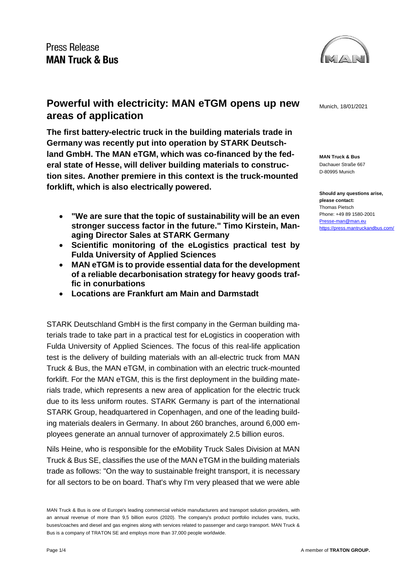

**MAN Truck & Bus** Dachauer Straße 667 D-80995 Munich

**Should any questions arise, please contact:** Thomas Pietsch Phone: +49 89 1580-2001 [Presse-man@man.eu](mailto:Presse-man@man.eu) <https://press.mantruckandbus.com/>

# **Powerful with electricity: MAN eTGM opens up new Munich, 18/01/2021 areas of application**

**The first battery-electric truck in the building materials trade in Germany was recently put into operation by STARK Deutschland GmbH. The MAN eTGM, which was co-financed by the federal state of Hesse, will deliver building materials to construction sites. Another premiere in this context is the truck-mounted forklift, which is also electrically powered.**

- **"We are sure that the topic of sustainability will be an even stronger success factor in the future." Timo Kirstein, Managing Director Sales at STARK Germany**
- **Scientific monitoring of the eLogistics practical test by Fulda University of Applied Sciences**
- **MAN eTGM is to provide essential data for the development of a reliable decarbonisation strategy for heavy goods traffic in conurbations**
- **Locations are Frankfurt am Main and Darmstadt**

STARK Deutschland GmbH is the first company in the German building materials trade to take part in a practical test for eLogistics in cooperation with Fulda University of Applied Sciences. The focus of this real-life application test is the delivery of building materials with an all-electric truck from MAN Truck & Bus, the MAN eTGM, in combination with an electric truck-mounted forklift. For the MAN eTGM, this is the first deployment in the building materials trade, which represents a new area of application for the electric truck due to its less uniform routes. STARK Germany is part of the international STARK Group, headquartered in Copenhagen, and one of the leading building materials dealers in Germany. In about 260 branches, around 6,000 employees generate an annual turnover of approximately 2.5 billion euros.

Nils Heine, who is responsible for the eMobility Truck Sales Division at MAN Truck & Bus SE, classifies the use of the MAN eTGM in the building materials trade as follows: "On the way to sustainable freight transport, it is necessary for all sectors to be on board. That's why I'm very pleased that we were able

MAN Truck & Bus is one of Europe's leading commercial vehicle manufacturers and transport solution providers, with an annual revenue of more than 9,5 billion euros (2020). The company's product portfolio includes vans, trucks, buses/coaches and diesel and gas engines along with services related to passenger and cargo transport. MAN Truck & Bus is a company of TRATON SE and employs more than 37,000 people worldwide.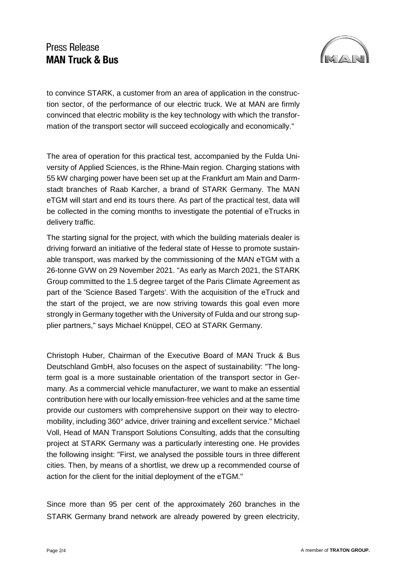# **Press Release MAN Truck & Bus**



to convince STARK, a customer from an area of application in the construction sector, of the performance of our electric truck. We at MAN are firmly convinced that electric mobility is the key technology with which the transformation of the transport sector will succeed ecologically and economically."

The area of operation for this practical test, accompanied by the Fulda University of Applied Sciences, is the Rhine-Main region. Charging stations with 55 kW charging power have been set up at the Frankfurt am Main and Darmstadt branches of Raab Karcher, a brand of STARK Germany. The MAN eTGM will start and end its tours there. As part of the practical test, data will be collected in the coming months to investigate the potential of eTrucks in delivery traffic.

The starting signal for the project, with which the building materials dealer is driving forward an initiative of the federal state of Hesse to promote sustainable transport, was marked by the commissioning of the MAN eTGM with a 26-tonne GVW on 29 November 2021. "As early as March 2021, the STARK Group committed to the 1.5 degree target of the Paris Climate Agreement as part of the 'Science Based Targets'. With the acquisition of the eTruck and the start of the project, we are now striving towards this goal even more strongly in Germany together with the University of Fulda and our strong supplier partners," says Michael Knüppel, CEO at STARK Germany.

Christoph Huber, Chairman of the Executive Board of MAN Truck & Bus Deutschland GmbH, also focuses on the aspect of sustainability: "The longterm goal is a more sustainable orientation of the transport sector in Germany. As a commercial vehicle manufacturer, we want to make an essential contribution here with our locally emission-free vehicles and at the same time provide our customers with comprehensive support on their way to electromobility, including 360° advice, driver training and excellent service." Michael Voll, Head of MAN Transport Solutions Consulting, adds that the consulting project at STARK Germany was a particularly interesting one. He provides the following insight: "First, we analysed the possible tours in three different cities. Then, by means of a shortlist, we drew up a recommended course of action for the client for the initial deployment of the eTGM."

Since more than 95 per cent of the approximately 260 branches in the STARK Germany brand network are already powered by green electricity,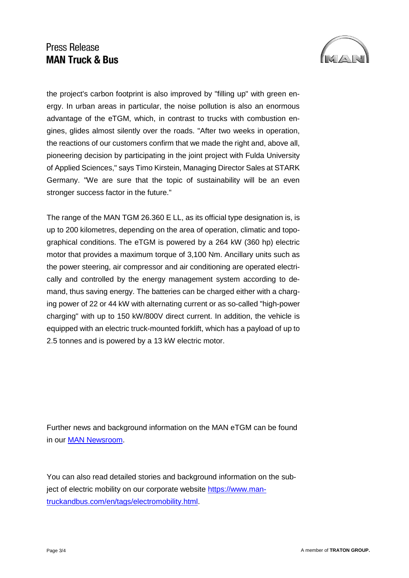# Press Release **MAN Truck & Bus**



the project's carbon footprint is also improved by "filling up" with green energy. In urban areas in particular, the noise pollution is also an enormous advantage of the eTGM, which, in contrast to trucks with combustion engines, glides almost silently over the roads. "After two weeks in operation, the reactions of our customers confirm that we made the right and, above all, pioneering decision by participating in the joint project with Fulda University of Applied Sciences," says Timo Kirstein, Managing Director Sales at STARK Germany. "We are sure that the topic of sustainability will be an even stronger success factor in the future."

The range of the MAN TGM 26.360 E LL, as its official type designation is, is up to 200 kilometres, depending on the area of operation, climatic and topographical conditions. The eTGM is powered by a 264 kW (360 hp) electric motor that provides a maximum torque of 3,100 Nm. Ancillary units such as the power steering, air compressor and air conditioning are operated electrically and controlled by the energy management system according to demand, thus saving energy. The batteries can be charged either with a charging power of 22 or 44 kW with alternating current or as so-called "high-power charging" with up to 150 kW/800V direct current. In addition, the vehicle is equipped with an electric truck-mounted forklift, which has a payload of up to 2.5 tonnes and is powered by a 13 kW electric motor.

Further news and background information on the MAN eTGM can be found in our [MAN Newsroom.](https://press.mantruckandbus.com/corporate/?h=1&t=eTGM)

You can also read detailed stories and background information on the subject of electric mobility on our corporate website [https://www.man](https://www.mantruckandbus.com/en/tags/electromobility.html)[truckandbus.com/en/tags/electromobility.html.](https://www.mantruckandbus.com/en/tags/electromobility.html)